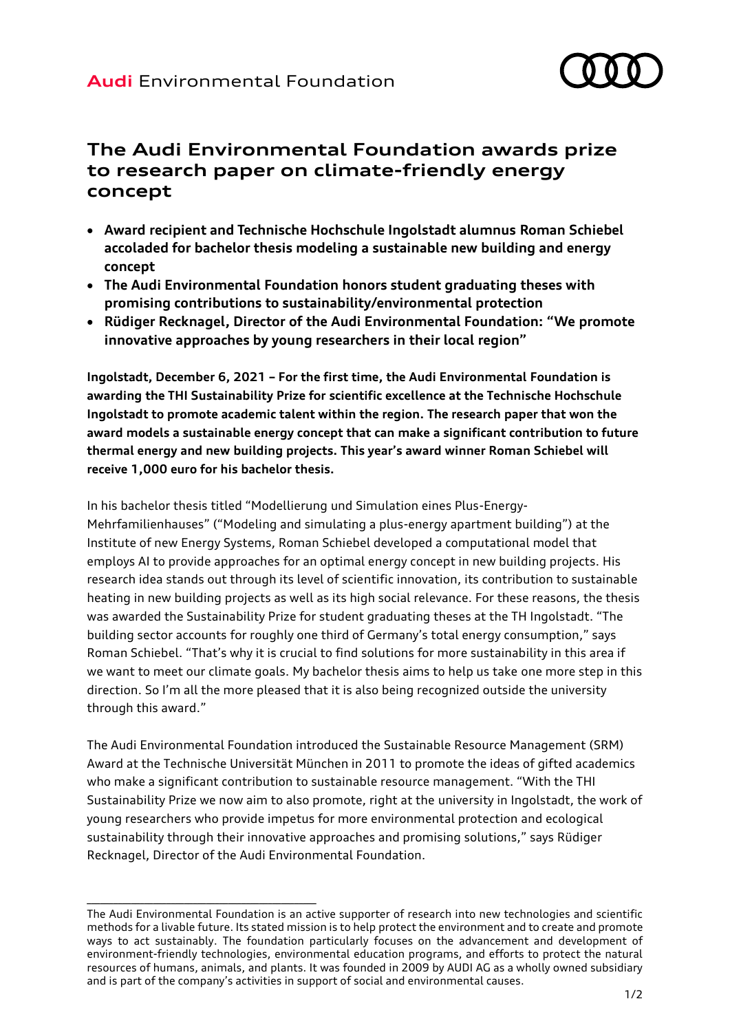

## **The Audi Environmental Foundation awards prize to research paper on climate-friendly energy concept**

- **Award recipient and Technische Hochschule Ingolstadt alumnus Roman Schiebel accoladed for bachelor thesis modeling a sustainable new building and energy concept**
- **The Audi Environmental Foundation honors student graduating theses with promising contributions to sustainability/environmental protection**
- **Rüdiger Recknagel, Director of the Audi Environmental Foundation: "We promote innovative approaches by young researchers in their local region"**

**Ingolstadt, December 6, 2021 – For the first time, the Audi Environmental Foundation is awarding the THI Sustainability Prize for scientific excellence at the Technische Hochschule Ingolstadt to promote academic talent within the region. The research paper that won the award models a sustainable energy concept that can make a significant contribution to future thermal energy and new building projects. This year's award winner Roman Schiebel will receive 1,000 euro for his bachelor thesis.**

In his bachelor thesis titled "Modellierung und Simulation eines Plus-Energy-Mehrfamilienhauses" ("Modeling and simulating a plus-energy apartment building") at the Institute of new Energy Systems, Roman Schiebel developed a computational model that employs AI to provide approaches for an optimal energy concept in new building projects. His research idea stands out through its level of scientific innovation, its contribution to sustainable heating in new building projects as well as its high social relevance. For these reasons, the thesis was awarded the Sustainability Prize for student graduating theses at the TH Ingolstadt. "The building sector accounts for roughly one third of Germany's total energy consumption," says Roman Schiebel. "That's why it is crucial to find solutions for more sustainability in this area if we want to meet our climate goals. My bachelor thesis aims to help us take one more step in this direction. So I'm all the more pleased that it is also being recognized outside the university through this award."

The Audi Environmental Foundation introduced the Sustainable Resource Management (SRM) Award at the Technische Universität München in 2011 to promote the ideas of gifted academics who make a significant contribution to sustainable resource management. "With the THI Sustainability Prize we now aim to also promote, right at the university in Ingolstadt, the work of young researchers who provide impetus for more environmental protection and ecological sustainability through their innovative approaches and promising solutions," says Rüdiger Recknagel, Director of the Audi Environmental Foundation.

\_\_\_\_\_\_\_\_\_\_\_\_\_\_\_\_\_\_\_\_\_\_\_\_\_\_\_\_\_\_\_\_\_\_\_\_\_\_\_\_\_\_\_\_\_\_\_\_\_\_\_\_

The Audi Environmental Foundation is an active supporter of research into new technologies and scientific methods for a livable future. Its stated mission is to help protect the environment and to create and promote ways to act sustainably. The foundation particularly focuses on the advancement and development of environment-friendly technologies, environmental education programs, and efforts to protect the natural resources of humans, animals, and plants. It was founded in 2009 by AUDI AG as a wholly owned subsidiary and is part of the company's activities in support of social and environmental causes.